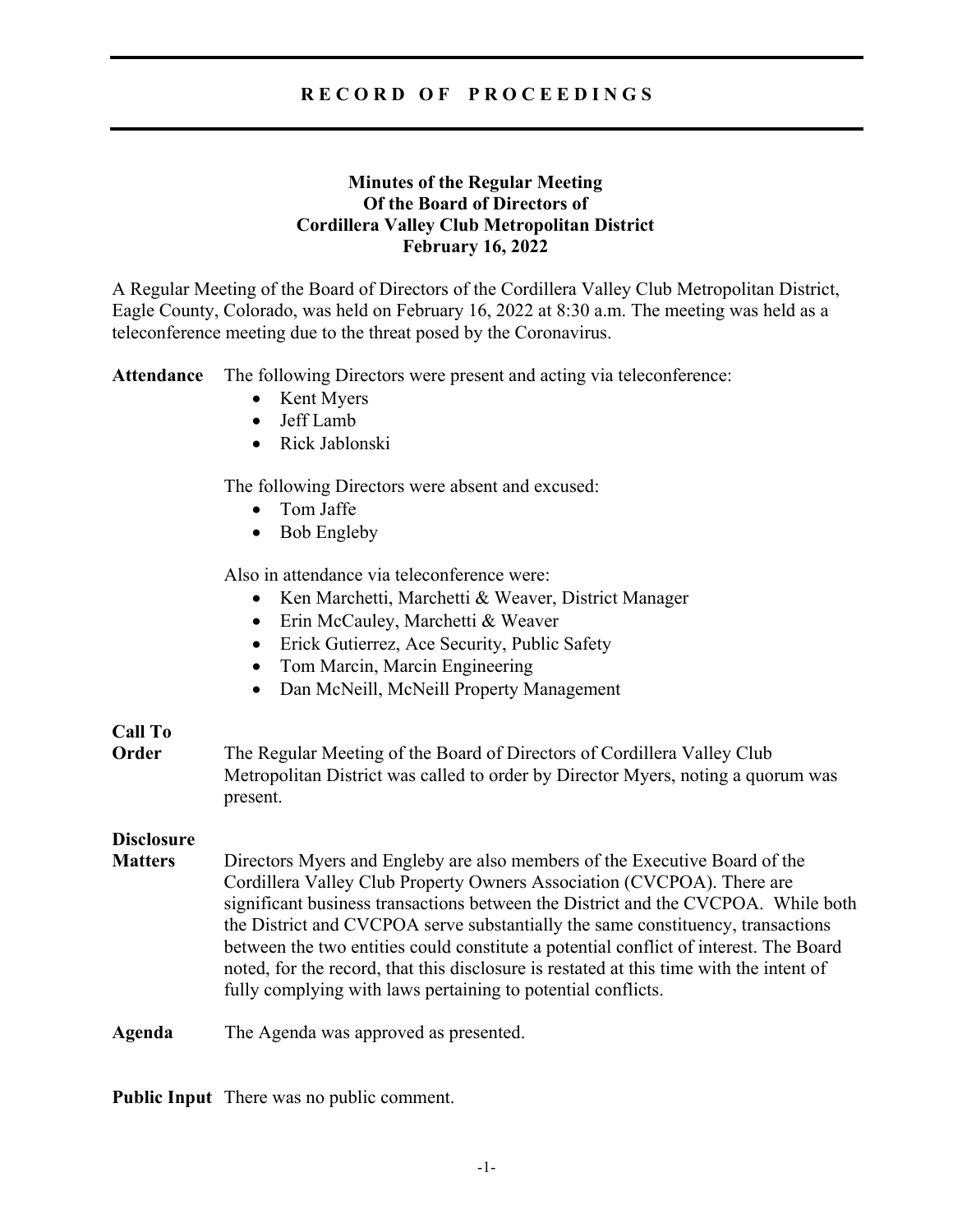# **R E C O R D O F P R O C E E D I N G S**

# **Minutes of the Regular Meeting Of the Board of Directors of Cordillera Valley Club Metropolitan District February 16, 2022**

A Regular Meeting of the Board of Directors of the Cordillera Valley Club Metropolitan District, Eagle County, Colorado, was held on February 16, 2022 at 8:30 a.m. The meeting was held as a teleconference meeting due to the threat posed by the Coronavirus.

**Attendance** The following Directors were present and acting via teleconference:

- Kent Myers
- Jeff Lamb
- Rick Jablonski

The following Directors were absent and excused:

- Tom Jaffe
- Bob Engleby

Also in attendance via teleconference were:

- Ken Marchetti, Marchetti & Weaver, District Manager
- Erin McCauley, Marchetti & Weaver
- Erick Gutierrez, Ace Security, Public Safety
- Tom Marcin, Marcin Engineering
- Dan McNeill, McNeill Property Management

## **Call To**

**Order** The Regular Meeting of the Board of Directors of Cordillera Valley Club Metropolitan District was called to order by Director Myers, noting a quorum was present.

## **Disclosure**

**Matters** Directors Myers and Engleby are also members of the Executive Board of the Cordillera Valley Club Property Owners Association (CVCPOA). There are significant business transactions between the District and the CVCPOA. While both the District and CVCPOA serve substantially the same constituency, transactions between the two entities could constitute a potential conflict of interest. The Board noted, for the record, that this disclosure is restated at this time with the intent of fully complying with laws pertaining to potential conflicts.

**Agenda** The Agenda was approved as presented.

**Public Input** There was no public comment.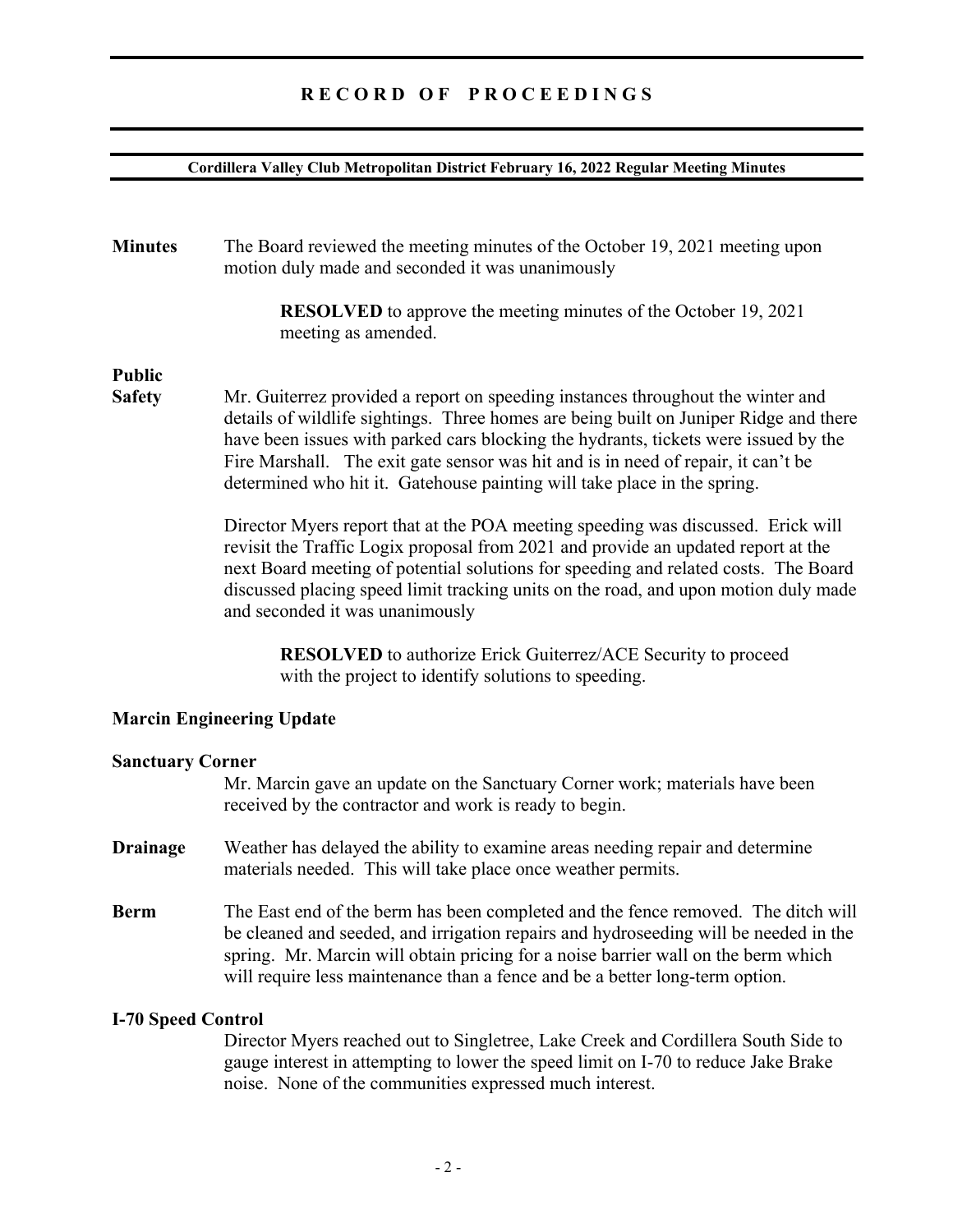#### **Cordillera Valley Club Metropolitan District February 16, 2022 Regular Meeting Minutes**

**Minutes** The Board reviewed the meeting minutes of the October 19, 2021 meeting upon motion duly made and seconded it was unanimously

> **RESOLVED** to approve the meeting minutes of the October 19, 2021 meeting as amended.

# **Public**

**Safety** Mr. Guiterrez provided a report on speeding instances throughout the winter and details of wildlife sightings. Three homes are being built on Juniper Ridge and there have been issues with parked cars blocking the hydrants, tickets were issued by the Fire Marshall. The exit gate sensor was hit and is in need of repair, it can't be determined who hit it. Gatehouse painting will take place in the spring.

> Director Myers report that at the POA meeting speeding was discussed. Erick will revisit the Traffic Logix proposal from 2021 and provide an updated report at the next Board meeting of potential solutions for speeding and related costs. The Board discussed placing speed limit tracking units on the road, and upon motion duly made and seconded it was unanimously

**RESOLVED** to authorize Erick Guiterrez/ACE Security to proceed with the project to identify solutions to speeding.

## **Marcin Engineering Update**

## **Sanctuary Corner**

Mr. Marcin gave an update on the Sanctuary Corner work; materials have been received by the contractor and work is ready to begin.

- **Drainage** Weather has delayed the ability to examine areas needing repair and determine materials needed. This will take place once weather permits.
- **Berm** The East end of the berm has been completed and the fence removed. The ditch will be cleaned and seeded, and irrigation repairs and hydroseeding will be needed in the spring. Mr. Marcin will obtain pricing for a noise barrier wall on the berm which will require less maintenance than a fence and be a better long-term option.

## **I-70 Speed Control**

Director Myers reached out to Singletree, Lake Creek and Cordillera South Side to gauge interest in attempting to lower the speed limit on I-70 to reduce Jake Brake noise. None of the communities expressed much interest.